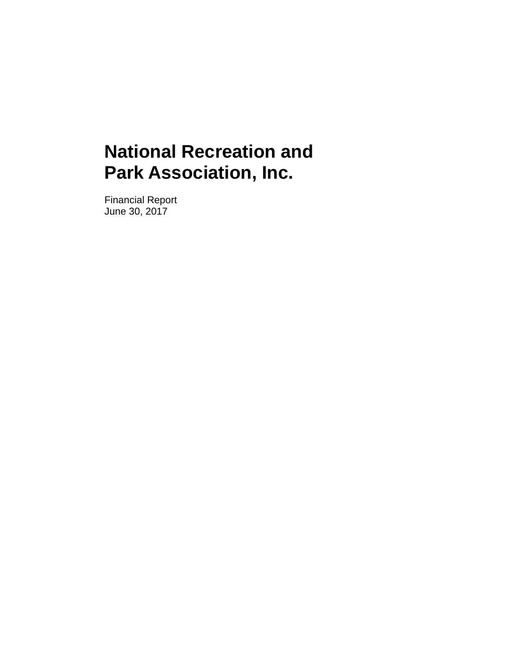Financial Report June 30, 2017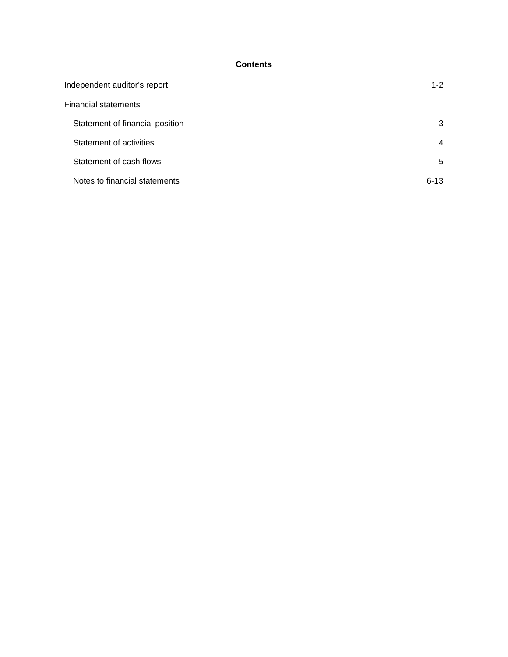# **Contents**

| Independent auditor's report    | $1 - 2$  |
|---------------------------------|----------|
| <b>Financial statements</b>     |          |
| Statement of financial position | 3        |
| Statement of activities         | 4        |
| Statement of cash flows         | 5        |
| Notes to financial statements   | $6 - 13$ |
|                                 |          |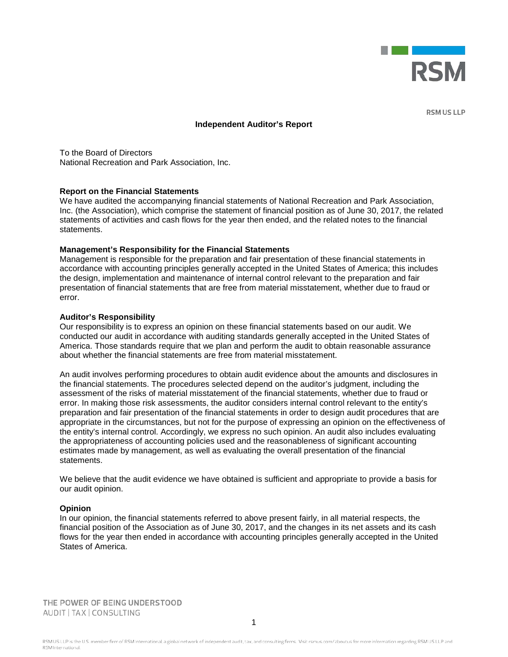

**RSM US LLP** 

#### **Independent Auditor's Report**

To the Board of Directors National Recreation and Park Association, Inc.

#### **Report on the Financial Statements**

We have audited the accompanying financial statements of National Recreation and Park Association, Inc. (the Association), which comprise the statement of financial position as of June 30, 2017, the related statements of activities and cash flows for the year then ended, and the related notes to the financial statements.

#### **Management's Responsibility for the Financial Statements**

Management is responsible for the preparation and fair presentation of these financial statements in accordance with accounting principles generally accepted in the United States of America; this includes the design, implementation and maintenance of internal control relevant to the preparation and fair presentation of financial statements that are free from material misstatement, whether due to fraud or error.

#### **Auditor's Responsibility**

Our responsibility is to express an opinion on these financial statements based on our audit. We conducted our audit in accordance with auditing standards generally accepted in the United States of America. Those standards require that we plan and perform the audit to obtain reasonable assurance about whether the financial statements are free from material misstatement.

An audit involves performing procedures to obtain audit evidence about the amounts and disclosures in the financial statements. The procedures selected depend on the auditor's judgment, including the assessment of the risks of material misstatement of the financial statements, whether due to fraud or error. In making those risk assessments, the auditor considers internal control relevant to the entity's preparation and fair presentation of the financial statements in order to design audit procedures that are appropriate in the circumstances, but not for the purpose of expressing an opinion on the effectiveness of the entity's internal control. Accordingly, we express no such opinion. An audit also includes evaluating the appropriateness of accounting policies used and the reasonableness of significant accounting estimates made by management, as well as evaluating the overall presentation of the financial statements.

We believe that the audit evidence we have obtained is sufficient and appropriate to provide a basis for our audit opinion.

#### **Opinion**

In our opinion, the financial statements referred to above present fairly, in all material respects, the financial position of the Association as of June 30, 2017, and the changes in its net assets and its cash flows for the year then ended in accordance with accounting principles generally accepted in the United States of America.

THE POWER OF BEING UNDERSTOOD AUDIT | TAX | CONSULTING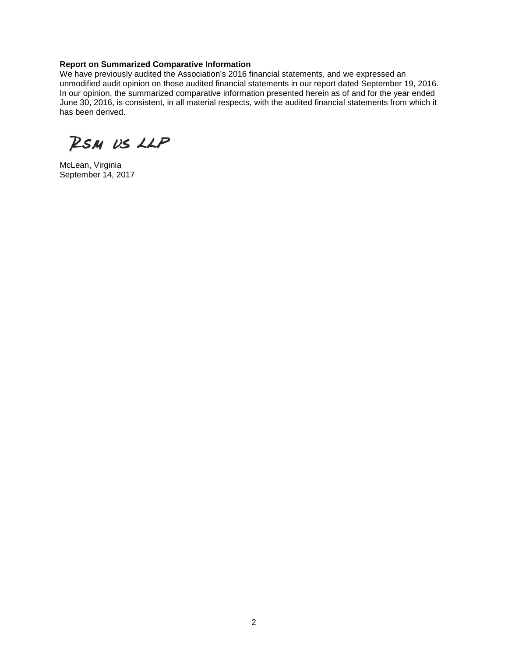#### **Report on Summarized Comparative Information**

We have previously audited the Association's 2016 financial statements, and we expressed an unmodified audit opinion on those audited financial statements in our report dated September 19, 2016. In our opinion, the summarized comparative information presented herein as of and for the year ended June 30, 2016, is consistent, in all material respects, with the audited financial statements from which it has been derived.

RSM US LLP

McLean, Virginia September 14, 2017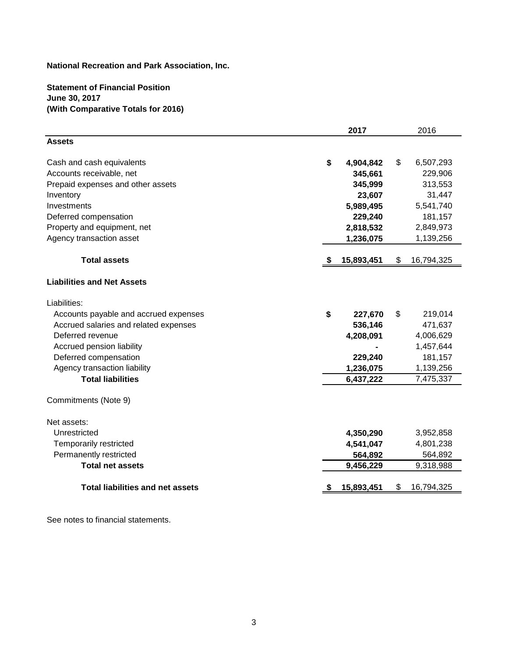**Statement of Financial Position June 30, 2017 (With Comparative Totals for 2016)**

|                                         | 2017            | 2016             |
|-----------------------------------------|-----------------|------------------|
| <b>Assets</b>                           |                 |                  |
| Cash and cash equivalents               | \$<br>4,904,842 | \$<br>6,507,293  |
| Accounts receivable, net                | 345,661         | 229,906          |
| Prepaid expenses and other assets       | 345,999         | 313,553          |
| Inventory                               | 23,607          | 31,447           |
| Investments                             | 5,989,495       | 5,541,740        |
| Deferred compensation                   | 229,240         | 181,157          |
| Property and equipment, net             | 2,818,532       | 2,849,973        |
| Agency transaction asset                | 1,236,075       | 1,139,256        |
| <b>Total assets</b>                     | 15,893,451      | \$<br>16,794,325 |
| <b>Liabilities and Net Assets</b>       |                 |                  |
| Liabilities:                            |                 |                  |
| Accounts payable and accrued expenses   | \$<br>227,670   | \$<br>219,014    |
| Accrued salaries and related expenses   | 536,146         | 471,637          |
| Deferred revenue                        | 4,208,091       | 4,006,629        |
| Accrued pension liability               |                 | 1,457,644        |
| Deferred compensation                   | 229,240         | 181,157          |
| Agency transaction liability            | 1,236,075       | 1,139,256        |
| <b>Total liabilities</b>                | 6,437,222       | 7,475,337        |
| Commitments (Note 9)                    |                 |                  |
| Net assets:                             |                 |                  |
| Unrestricted                            | 4,350,290       | 3,952,858        |
| Temporarily restricted                  | 4,541,047       | 4,801,238        |
| Permanently restricted                  | 564,892         | 564,892          |
| <b>Total net assets</b>                 | 9,456,229       | 9,318,988        |
| <b>Total liabilities and net assets</b> | 15,893,451      | \$<br>16,794,325 |
|                                         |                 |                  |

See notes to financial statements.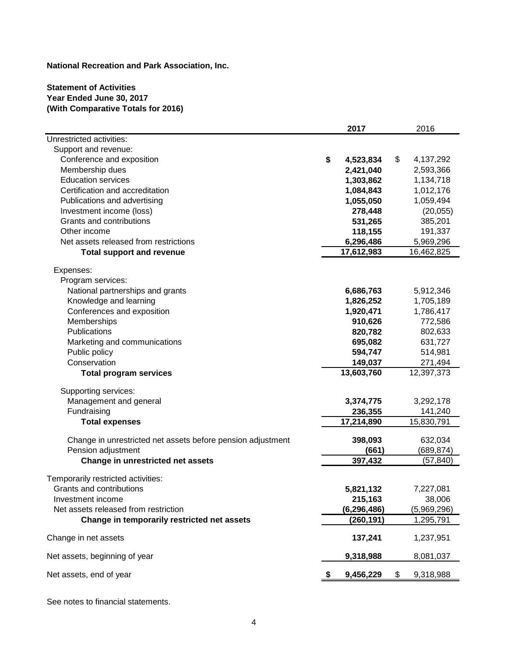# **Statement of Activities Year Ended June 30, 2017 (With Comparative Totals for 2016)**

|                                                             |      | 2017          | 2016            |
|-------------------------------------------------------------|------|---------------|-----------------|
| Unrestricted activities:                                    |      |               |                 |
| Support and revenue:                                        |      |               |                 |
| Conference and exposition                                   | \$   | 4,523,834     | \$<br>4,137,292 |
| Membership dues                                             |      | 2,421,040     | 2,593,366       |
| <b>Education services</b>                                   |      | 1,303,862     | 1,134,718       |
| Certification and accreditation                             |      | 1,084,843     | 1,012,176       |
| Publications and advertising                                |      | 1,055,050     | 1,059,494       |
| Investment income (loss)                                    |      | 278,448       | (20, 055)       |
| Grants and contributions                                    |      | 531,265       | 385,201         |
| Other income                                                |      | 118,155       | 191,337         |
| Net assets released from restrictions                       |      | 6,296,486     | 5,969,296       |
| <b>Total support and revenue</b>                            |      | 17,612,983    | 16,462,825      |
| Expenses:                                                   |      |               |                 |
| Program services:                                           |      |               |                 |
| National partnerships and grants                            |      | 6,686,763     | 5,912,346       |
| Knowledge and learning                                      |      | 1,826,252     | 1,705,189       |
| Conferences and exposition                                  |      | 1,920,471     | 1,786,417       |
| Memberships                                                 |      | 910,626       | 772,586         |
| Publications                                                |      | 820,782       | 802,633         |
| Marketing and communications                                |      | 695,082       | 631,727         |
| Public policy                                               |      | 594,747       | 514,981         |
| Conservation                                                |      | 149,037       | 271,494         |
| <b>Total program services</b>                               |      | 13,603,760    | 12,397,373      |
| Supporting services:                                        |      |               |                 |
| Management and general                                      |      | 3,374,775     | 3,292,178       |
| Fundraising                                                 |      | 236,355       | 141,240         |
| <b>Total expenses</b>                                       |      | 17,214,890    | 15,830,791      |
| Change in unrestricted net assets before pension adjustment |      | 398,093       | 632,034         |
| Pension adjustment                                          |      | (661)         | (689, 874)      |
| Change in unrestricted net assets                           |      | 397,432       | (57,840)        |
|                                                             |      |               |                 |
| Temporarily restricted activities:                          |      |               |                 |
| Grants and contributions                                    |      | 5,821,132     | 7,227,081       |
| Investment income                                           |      | 215,163       | 38,006          |
| Net assets released from restriction                        |      | (6, 296, 486) | (5,969,296)     |
| Change in temporarily restricted net assets                 |      | (260,191)     | 1,295,791       |
| Change in net assets                                        |      | 137,241       | 1,237,951       |
| Net assets, beginning of year                               |      | 9,318,988     | 8,081,037       |
| Net assets, end of year                                     | - \$ | 9,456,229     | \$<br>9,318,988 |

See notes to financial statements.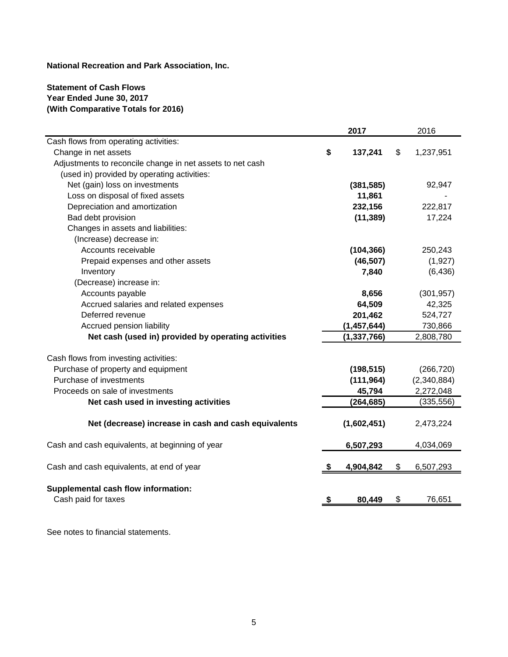# **Statement of Cash Flows Year Ended June 30, 2017 (With Comparative Totals for 2016)**

|                                                           | 2017          | 2016            |
|-----------------------------------------------------------|---------------|-----------------|
| Cash flows from operating activities:                     |               |                 |
| Change in net assets                                      | \$<br>137,241 | \$<br>1,237,951 |
| Adjustments to reconcile change in net assets to net cash |               |                 |
| (used in) provided by operating activities:               |               |                 |
| Net (gain) loss on investments                            | (381, 585)    | 92,947          |
| Loss on disposal of fixed assets                          | 11,861        |                 |
| Depreciation and amortization                             | 232,156       | 222,817         |
| Bad debt provision                                        | (11, 389)     | 17,224          |
| Changes in assets and liabilities:                        |               |                 |
| (Increase) decrease in:                                   |               |                 |
| Accounts receivable                                       | (104, 366)    | 250,243         |
| Prepaid expenses and other assets                         | (46, 507)     | (1,927)         |
| Inventory                                                 | 7,840         | (6, 436)        |
| (Decrease) increase in:                                   |               |                 |
| Accounts payable                                          | 8,656         | (301, 957)      |
| Accrued salaries and related expenses                     | 64,509        | 42,325          |
| Deferred revenue                                          | 201,462       | 524,727         |
| Accrued pension liability                                 | (1, 457, 644) | 730,866         |
| Net cash (used in) provided by operating activities       | (1, 337, 766) | 2,808,780       |
| Cash flows from investing activities:                     |               |                 |
| Purchase of property and equipment                        | (198, 515)    | (266, 720)      |
| Purchase of investments                                   | (111, 964)    | (2,340,884)     |
| Proceeds on sale of investments                           | 45,794        | 2,272,048       |
| Net cash used in investing activities                     | (264, 685)    | (335, 556)      |
|                                                           |               |                 |
| Net (decrease) increase in cash and cash equivalents      | (1,602,451)   | 2,473,224       |
| Cash and cash equivalents, at beginning of year           | 6,507,293     | 4,034,069       |
| Cash and cash equivalents, at end of year                 | 4,904,842     | \$<br>6,507,293 |
|                                                           |               |                 |
| Supplemental cash flow information:                       |               |                 |
| Cash paid for taxes                                       | \$<br>80,449  | \$<br>76,651    |
|                                                           |               |                 |

See notes to financial statements.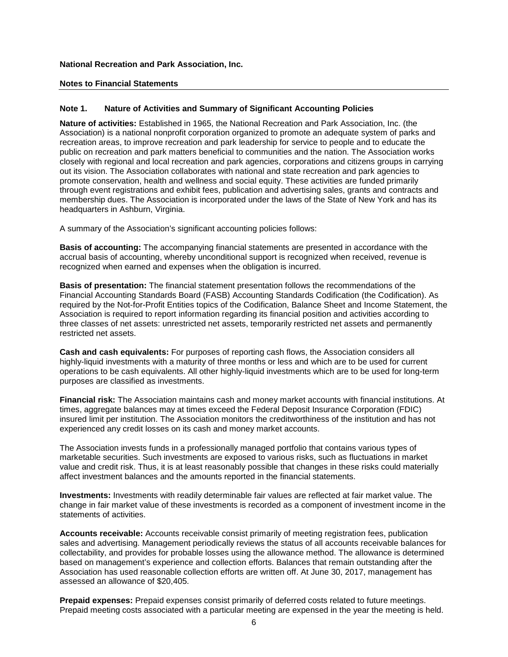#### **Notes to Financial Statements**

#### **Note 1. Nature of Activities and Summary of Significant Accounting Policies**

**Nature of activities:** Established in 1965, the National Recreation and Park Association, Inc. (the Association) is a national nonprofit corporation organized to promote an adequate system of parks and recreation areas, to improve recreation and park leadership for service to people and to educate the public on recreation and park matters beneficial to communities and the nation. The Association works closely with regional and local recreation and park agencies, corporations and citizens groups in carrying out its vision. The Association collaborates with national and state recreation and park agencies to promote conservation, health and wellness and social equity. These activities are funded primarily through event registrations and exhibit fees, publication and advertising sales, grants and contracts and membership dues. The Association is incorporated under the laws of the State of New York and has its headquarters in Ashburn, Virginia.

A summary of the Association's significant accounting policies follows:

**Basis of accounting:** The accompanying financial statements are presented in accordance with the accrual basis of accounting, whereby unconditional support is recognized when received, revenue is recognized when earned and expenses when the obligation is incurred.

**Basis of presentation:** The financial statement presentation follows the recommendations of the Financial Accounting Standards Board (FASB) Accounting Standards Codification (the Codification). As required by the Not-for-Profit Entities topics of the Codification, Balance Sheet and Income Statement, the Association is required to report information regarding its financial position and activities according to three classes of net assets: unrestricted net assets, temporarily restricted net assets and permanently restricted net assets.

**Cash and cash equivalents:** For purposes of reporting cash flows, the Association considers all highly-liquid investments with a maturity of three months or less and which are to be used for current operations to be cash equivalents. All other highly-liquid investments which are to be used for long-term purposes are classified as investments.

**Financial risk:** The Association maintains cash and money market accounts with financial institutions. At times, aggregate balances may at times exceed the Federal Deposit Insurance Corporation (FDIC) insured limit per institution. The Association monitors the creditworthiness of the institution and has not experienced any credit losses on its cash and money market accounts.

The Association invests funds in a professionally managed portfolio that contains various types of marketable securities. Such investments are exposed to various risks, such as fluctuations in market value and credit risk. Thus, it is at least reasonably possible that changes in these risks could materially affect investment balances and the amounts reported in the financial statements.

**Investments:** Investments with readily determinable fair values are reflected at fair market value. The change in fair market value of these investments is recorded as a component of investment income in the statements of activities.

**Accounts receivable:** Accounts receivable consist primarily of meeting registration fees, publication sales and advertising. Management periodically reviews the status of all accounts receivable balances for collectability, and provides for probable losses using the allowance method. The allowance is determined based on management's experience and collection efforts. Balances that remain outstanding after the Association has used reasonable collection efforts are written off. At June 30, 2017, management has assessed an allowance of \$20,405.

**Prepaid expenses:** Prepaid expenses consist primarily of deferred costs related to future meetings. Prepaid meeting costs associated with a particular meeting are expensed in the year the meeting is held.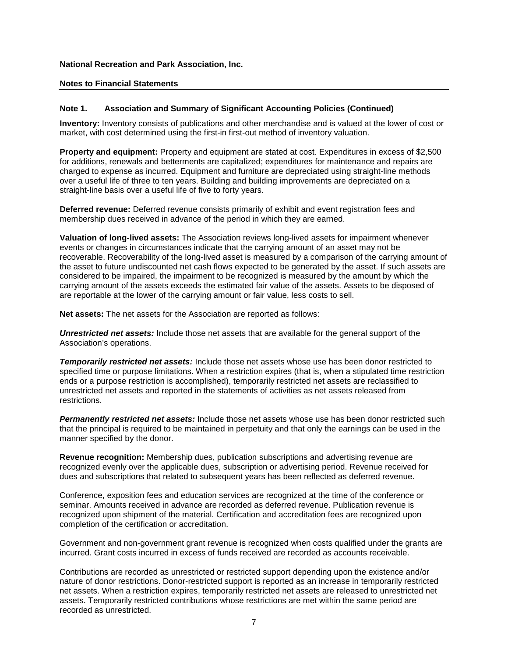#### **Notes to Financial Statements**

#### **Note 1. Association and Summary of Significant Accounting Policies (Continued)**

**Inventory:** Inventory consists of publications and other merchandise and is valued at the lower of cost or market, with cost determined using the first-in first-out method of inventory valuation.

**Property and equipment:** Property and equipment are stated at cost. Expenditures in excess of \$2,500 for additions, renewals and betterments are capitalized; expenditures for maintenance and repairs are charged to expense as incurred. Equipment and furniture are depreciated using straight-line methods over a useful life of three to ten years. Building and building improvements are depreciated on a straight-line basis over a useful life of five to forty years.

**Deferred revenue:** Deferred revenue consists primarily of exhibit and event registration fees and membership dues received in advance of the period in which they are earned.

**Valuation of long-lived assets:** The Association reviews long-lived assets for impairment whenever events or changes in circumstances indicate that the carrying amount of an asset may not be recoverable. Recoverability of the long-lived asset is measured by a comparison of the carrying amount of the asset to future undiscounted net cash flows expected to be generated by the asset. If such assets are considered to be impaired, the impairment to be recognized is measured by the amount by which the carrying amount of the assets exceeds the estimated fair value of the assets. Assets to be disposed of are reportable at the lower of the carrying amount or fair value, less costs to sell.

**Net assets:** The net assets for the Association are reported as follows:

*Unrestricted net assets:* Include those net assets that are available for the general support of the Association's operations.

*Temporarily restricted net assets:* Include those net assets whose use has been donor restricted to specified time or purpose limitations. When a restriction expires (that is, when a stipulated time restriction ends or a purpose restriction is accomplished), temporarily restricted net assets are reclassified to unrestricted net assets and reported in the statements of activities as net assets released from restrictions.

*Permanently restricted net assets:* Include those net assets whose use has been donor restricted such that the principal is required to be maintained in perpetuity and that only the earnings can be used in the manner specified by the donor.

**Revenue recognition:** Membership dues, publication subscriptions and advertising revenue are recognized evenly over the applicable dues, subscription or advertising period. Revenue received for dues and subscriptions that related to subsequent years has been reflected as deferred revenue.

Conference, exposition fees and education services are recognized at the time of the conference or seminar. Amounts received in advance are recorded as deferred revenue. Publication revenue is recognized upon shipment of the material. Certification and accreditation fees are recognized upon completion of the certification or accreditation.

Government and non-government grant revenue is recognized when costs qualified under the grants are incurred. Grant costs incurred in excess of funds received are recorded as accounts receivable.

Contributions are recorded as unrestricted or restricted support depending upon the existence and/or nature of donor restrictions. Donor-restricted support is reported as an increase in temporarily restricted net assets. When a restriction expires, temporarily restricted net assets are released to unrestricted net assets. Temporarily restricted contributions whose restrictions are met within the same period are recorded as unrestricted.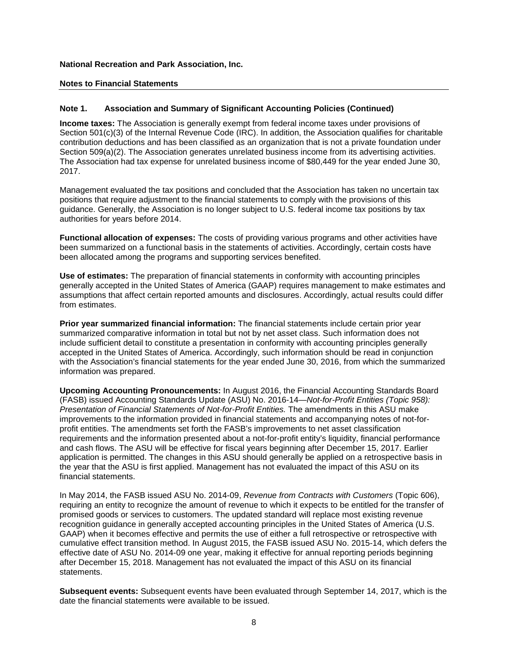#### **Notes to Financial Statements**

#### **Note 1. Association and Summary of Significant Accounting Policies (Continued)**

**Income taxes:** The Association is generally exempt from federal income taxes under provisions of Section 501(c)(3) of the Internal Revenue Code (IRC). In addition, the Association qualifies for charitable contribution deductions and has been classified as an organization that is not a private foundation under Section 509(a)(2). The Association generates unrelated business income from its advertising activities. The Association had tax expense for unrelated business income of \$80,449 for the year ended June 30, 2017.

Management evaluated the tax positions and concluded that the Association has taken no uncertain tax positions that require adjustment to the financial statements to comply with the provisions of this guidance. Generally, the Association is no longer subject to U.S. federal income tax positions by tax authorities for years before 2014.

**Functional allocation of expenses:** The costs of providing various programs and other activities have been summarized on a functional basis in the statements of activities. Accordingly, certain costs have been allocated among the programs and supporting services benefited.

**Use of estimates:** The preparation of financial statements in conformity with accounting principles generally accepted in the United States of America (GAAP) requires management to make estimates and assumptions that affect certain reported amounts and disclosures. Accordingly, actual results could differ from estimates.

**Prior year summarized financial information:** The financial statements include certain prior year summarized comparative information in total but not by net asset class. Such information does not include sufficient detail to constitute a presentation in conformity with accounting principles generally accepted in the United States of America. Accordingly, such information should be read in conjunction with the Association's financial statements for the year ended June 30, 2016, from which the summarized information was prepared.

**Upcoming Accounting Pronouncements:** In August 2016, the Financial Accounting Standards Board (FASB) issued Accounting Standards Update (ASU) No. 2016-14—*Not-for-Profit Entities (Topic 958): Presentation of Financial Statements of Not-for-Profit Entities.* The amendments in this ASU make improvements to the information provided in financial statements and accompanying notes of not-forprofit entities. The amendments set forth the FASB's improvements to net asset classification requirements and the information presented about a not-for-profit entity's liquidity, financial performance and cash flows. The ASU will be effective for fiscal years beginning after December 15, 2017. Earlier application is permitted. The changes in this ASU should generally be applied on a retrospective basis in the year that the ASU is first applied. Management has not evaluated the impact of this ASU on its financial statements.

In May 2014, the FASB issued ASU No. 2014-09, *Revenue from Contracts with Customers* (Topic 606), requiring an entity to recognize the amount of revenue to which it expects to be entitled for the transfer of promised goods or services to customers. The updated standard will replace most existing revenue recognition guidance in generally accepted accounting principles in the United States of America (U.S. GAAP) when it becomes effective and permits the use of either a full retrospective or retrospective with cumulative effect transition method. In August 2015, the FASB issued ASU No. 2015-14, which defers the effective date of ASU No. 2014-09 one year, making it effective for annual reporting periods beginning after December 15, 2018. Management has not evaluated the impact of this ASU on its financial statements.

**Subsequent events:** Subsequent events have been evaluated through September 14, 2017, which is the date the financial statements were available to be issued.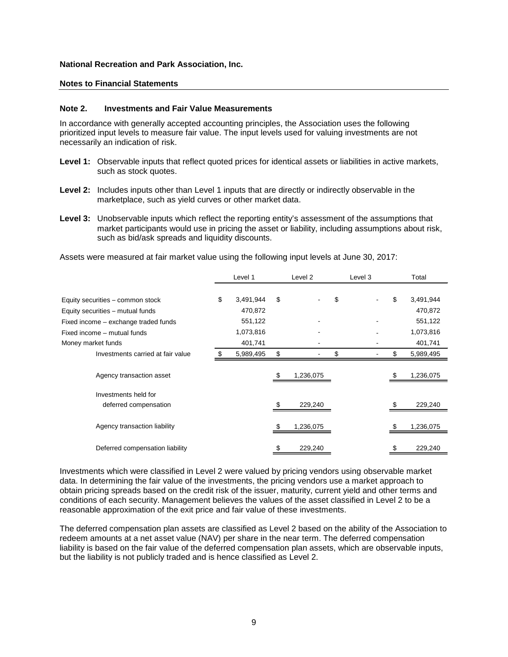#### **Notes to Financial Statements**

#### **Note 2. Investments and Fair Value Measurements**

In accordance with generally accepted accounting principles, the Association uses the following prioritized input levels to measure fair value. The input levels used for valuing investments are not necessarily an indication of risk.

- **Level 1:** Observable inputs that reflect quoted prices for identical assets or liabilities in active markets, such as stock quotes.
- Level 2: Includes inputs other than Level 1 inputs that are directly or indirectly observable in the marketplace, such as yield curves or other market data.
- **Level 3:** Unobservable inputs which reflect the reporting entity's assessment of the assumptions that market participants would use in pricing the asset or liability, including assumptions about risk, such as bid/ask spreads and liquidity discounts.

Assets were measured at fair market value using the following input levels at June 30, 2017:

|                                               | Level 1         | Level 2   | Level 3 | Total           |
|-----------------------------------------------|-----------------|-----------|---------|-----------------|
| Equity securities - common stock              | \$<br>3,491,944 | \$        | \$      | \$<br>3,491,944 |
| Equity securities - mutual funds              | 470,872         |           |         | 470,872         |
| Fixed income - exchange traded funds          | 551,122         |           |         | 551,122         |
| Fixed income – mutual funds                   | 1,073,816       |           |         | 1,073,816       |
| Money market funds                            | 401,741         |           |         | 401,741         |
| Investments carried at fair value             | 5,989,495       | \$        | \$      | \$<br>5,989,495 |
| Agency transaction asset                      |                 | 1,236,075 |         | 1,236,075       |
| Investments held for<br>deferred compensation |                 | 229,240   |         | 229,240         |
| Agency transaction liability                  |                 | 1,236,075 |         | 1,236,075       |
| Deferred compensation liability               |                 | 229,240   |         | 229,240         |

Investments which were classified in Level 2 were valued by pricing vendors using observable market data. In determining the fair value of the investments, the pricing vendors use a market approach to obtain pricing spreads based on the credit risk of the issuer, maturity, current yield and other terms and conditions of each security. Management believes the values of the asset classified in Level 2 to be a reasonable approximation of the exit price and fair value of these investments.

The deferred compensation plan assets are classified as Level 2 based on the ability of the Association to redeem amounts at a net asset value (NAV) per share in the near term. The deferred compensation liability is based on the fair value of the deferred compensation plan assets, which are observable inputs, but the liability is not publicly traded and is hence classified as Level 2.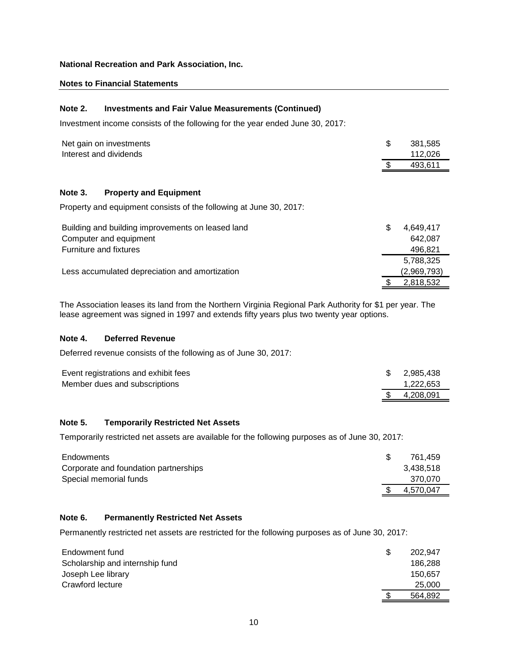#### **Notes to Financial Statements**

#### **Note 2. Investments and Fair Value Measurements (Continued)**

Investment income consists of the following for the year ended June 30, 2017:

| Net gain on investments<br>Interest and dividends                  | \$<br>381,585<br>112,026<br>493,611 |
|--------------------------------------------------------------------|-------------------------------------|
| Note 3.<br><b>Property and Equipment</b>                           |                                     |
| Property and equipment consists of the following at June 30, 2017: |                                     |
| Building and building improvements on leased land                  | \$<br>4,649,417                     |
| Computer and equipment                                             | 642.087                             |
| Furniture and fixtures                                             | 496,821                             |
|                                                                    | 5,788,325                           |
| Less accumulated depreciation and amortization                     | (2,969,793)                         |
|                                                                    | 2,818,532                           |

The Association leases its land from the Northern Virginia Regional Park Authority for \$1 per year. The lease agreement was signed in 1997 and extends fifty years plus two twenty year options.

#### **Note 4. Deferred Revenue**

Deferred revenue consists of the following as of June 30, 2017:

| Event registrations and exhibit fees | 2,985,438 |
|--------------------------------------|-----------|
| Member dues and subscriptions        | 1.222.653 |
|                                      | 4.208.091 |

#### **Note 5. Temporarily Restricted Net Assets**

Temporarily restricted net assets are available for the following purposes as of June 30, 2017:

| Endowments                            | 761.459   |
|---------------------------------------|-----------|
| Corporate and foundation partnerships | 3.438.518 |
| Special memorial funds                | 370,070   |
|                                       | 4,570,047 |

#### **Note 6. Permanently Restricted Net Assets**

Permanently restricted net assets are restricted for the following purposes as of June 30, 2017:

| Endowment fund                  | 202.947 |
|---------------------------------|---------|
| Scholarship and internship fund | 186.288 |
| Joseph Lee library              | 150.657 |
| Crawford lecture                | 25,000  |
|                                 | 564.892 |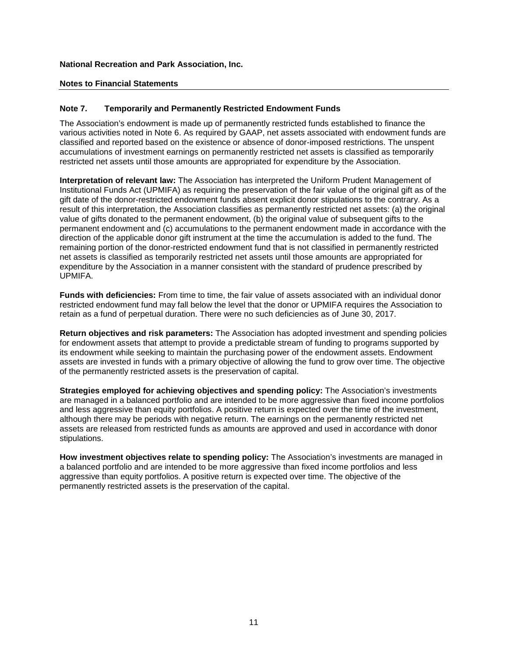#### **Notes to Financial Statements**

#### **Note 7. Temporarily and Permanently Restricted Endowment Funds**

The Association's endowment is made up of permanently restricted funds established to finance the various activities noted in Note 6. As required by GAAP, net assets associated with endowment funds are classified and reported based on the existence or absence of donor-imposed restrictions. The unspent accumulations of investment earnings on permanently restricted net assets is classified as temporarily restricted net assets until those amounts are appropriated for expenditure by the Association.

**Interpretation of relevant law:** The Association has interpreted the Uniform Prudent Management of Institutional Funds Act (UPMIFA) as requiring the preservation of the fair value of the original gift as of the gift date of the donor-restricted endowment funds absent explicit donor stipulations to the contrary. As a result of this interpretation, the Association classifies as permanently restricted net assets: (a) the original value of gifts donated to the permanent endowment, (b) the original value of subsequent gifts to the permanent endowment and (c) accumulations to the permanent endowment made in accordance with the direction of the applicable donor gift instrument at the time the accumulation is added to the fund. The remaining portion of the donor-restricted endowment fund that is not classified in permanently restricted net assets is classified as temporarily restricted net assets until those amounts are appropriated for expenditure by the Association in a manner consistent with the standard of prudence prescribed by **UPMIFA** 

**Funds with deficiencies:** From time to time, the fair value of assets associated with an individual donor restricted endowment fund may fall below the level that the donor or UPMIFA requires the Association to retain as a fund of perpetual duration. There were no such deficiencies as of June 30, 2017.

**Return objectives and risk parameters:** The Association has adopted investment and spending policies for endowment assets that attempt to provide a predictable stream of funding to programs supported by its endowment while seeking to maintain the purchasing power of the endowment assets. Endowment assets are invested in funds with a primary objective of allowing the fund to grow over time. The objective of the permanently restricted assets is the preservation of capital.

**Strategies employed for achieving objectives and spending policy:** The Association's investments are managed in a balanced portfolio and are intended to be more aggressive than fixed income portfolios and less aggressive than equity portfolios. A positive return is expected over the time of the investment, although there may be periods with negative return. The earnings on the permanently restricted net assets are released from restricted funds as amounts are approved and used in accordance with donor stipulations.

**How investment objectives relate to spending policy:** The Association's investments are managed in a balanced portfolio and are intended to be more aggressive than fixed income portfolios and less aggressive than equity portfolios. A positive return is expected over time. The objective of the permanently restricted assets is the preservation of the capital.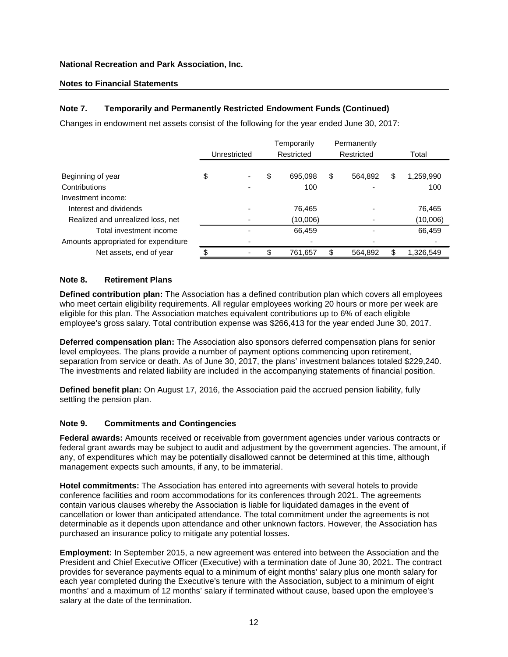#### **Notes to Financial Statements**

## **Note 7. Temporarily and Permanently Restricted Endowment Funds (Continued)**

Changes in endowment net assets consist of the following for the year ended June 30, 2017:

|                                      |    |              | Temporarily   |     | Permanently |    |           |
|--------------------------------------|----|--------------|---------------|-----|-------------|----|-----------|
|                                      |    | Unrestricted | Restricted    |     | Restricted  |    | Total     |
|                                      |    |              |               |     |             |    |           |
| Beginning of year                    | \$ |              | \$<br>695,098 | \$  | 564,892     | \$ | 1,259,990 |
| Contributions                        |    |              | 100           |     |             |    | 100       |
| Investment income:                   |    |              |               |     |             |    |           |
| Interest and dividends               |    |              | 76,465        |     |             |    | 76,465    |
| Realized and unrealized loss, net    |    |              | (10,006)      |     |             |    | (10,006)  |
| Total investment income              |    |              | 66.459        |     |             |    | 66,459    |
| Amounts appropriated for expenditure |    |              |               |     |             |    |           |
| Net assets, end of year              | ጥ  |              | 761,657       | \$. | 564,892     | \$ | 1,326,549 |

#### **Note 8. Retirement Plans**

**Defined contribution plan:** The Association has a defined contribution plan which covers all employees who meet certain eligibility requirements. All regular employees working 20 hours or more per week are eligible for this plan. The Association matches equivalent contributions up to 6% of each eligible employee's gross salary. Total contribution expense was \$266,413 for the year ended June 30, 2017.

**Deferred compensation plan:** The Association also sponsors deferred compensation plans for senior level employees. The plans provide a number of payment options commencing upon retirement, separation from service or death. As of June 30, 2017, the plans' investment balances totaled \$229,240. The investments and related liability are included in the accompanying statements of financial position.

**Defined benefit plan:** On August 17, 2016, the Association paid the accrued pension liability, fully settling the pension plan.

## **Note 9. Commitments and Contingencies**

**Federal awards:** Amounts received or receivable from government agencies under various contracts or federal grant awards may be subject to audit and adjustment by the government agencies. The amount, if any, of expenditures which may be potentially disallowed cannot be determined at this time, although management expects such amounts, if any, to be immaterial.

**Hotel commitments:** The Association has entered into agreements with several hotels to provide conference facilities and room accommodations for its conferences through 2021. The agreements contain various clauses whereby the Association is liable for liquidated damages in the event of cancellation or lower than anticipated attendance. The total commitment under the agreements is not determinable as it depends upon attendance and other unknown factors. However, the Association has purchased an insurance policy to mitigate any potential losses.

**Employment:** In September 2015, a new agreement was entered into between the Association and the President and Chief Executive Officer (Executive) with a termination date of June 30, 2021. The contract provides for severance payments equal to a minimum of eight months' salary plus one month salary for each year completed during the Executive's tenure with the Association, subject to a minimum of eight months' and a maximum of 12 months' salary if terminated without cause, based upon the employee's salary at the date of the termination.